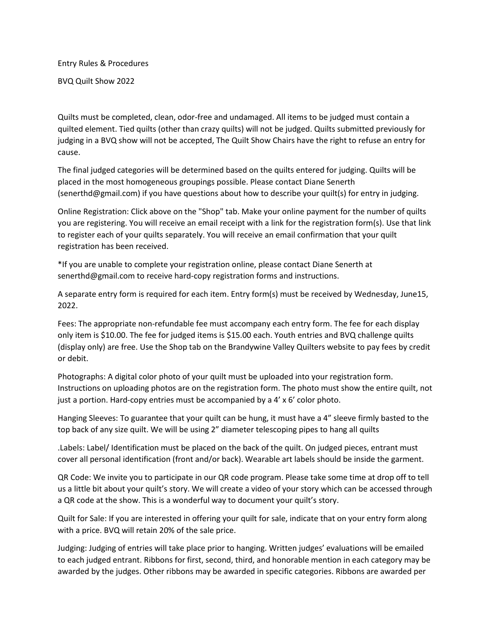Entry Rules & Procedures

BVQ Quilt Show 2022

Quilts must be completed, clean, odor-free and undamaged. All items to be judged must contain a quilted element. Tied quilts (other than crazy quilts) will not be judged. Quilts submitted previously for judging in a BVQ show will not be accepted, The Quilt Show Chairs have the right to refuse an entry for cause.

The final judged categories will be determined based on the quilts entered for judging. Quilts will be placed in the most homogeneous groupings possible. Please contact Diane Senerth (senerthd@gmail.com) if you have questions about how to describe your quilt(s) for entry in judging.

Online Registration: Click above on the "Shop" tab. Make your online payment for the number of quilts you are registering. You will receive an email receipt with a link for the registration form(s). Use that link to register each of your quilts separately. You will receive an email confirmation that your quilt registration has been received.

\*If you are unable to complete your registration online, please contact Diane Senerth at senerthd@gmail.com to receive hard-copy registration forms and instructions.

A separate entry form is required for each item. Entry form(s) must be received by Wednesday, June15, 2022.

Fees: The appropriate non-refundable fee must accompany each entry form. The fee for each display only item is \$10.00. The fee for judged items is \$15.00 each. Youth entries and BVQ challenge quilts (display only) are free. Use the Shop tab on the Brandywine Valley Quilters website to pay fees by credit or debit.

Photographs: A digital color photo of your quilt must be uploaded into your registration form. Instructions on uploading photos are on the registration form. The photo must show the entire quilt, not just a portion. Hard-copy entries must be accompanied by a 4' x 6' color photo.

Hanging Sleeves: To guarantee that your quilt can be hung, it must have a 4" sleeve firmly basted to the top back of any size quilt. We will be using 2" diameter telescoping pipes to hang all quilts

.Labels: Label/ Identification must be placed on the back of the quilt. On judged pieces, entrant must cover all personal identification (front and/or back). Wearable art labels should be inside the garment.

QR Code: We invite you to participate in our QR code program. Please take some time at drop off to tell us a little bit about your quilt's story. We will create a video of your story which can be accessed through a QR code at the show. This is a wonderful way to document your quilt's story.

Quilt for Sale: If you are interested in offering your quilt for sale, indicate that on your entry form along with a price. BVQ will retain 20% of the sale price.

Judging: Judging of entries will take place prior to hanging. Written judges' evaluations will be emailed to each judged entrant. Ribbons for first, second, third, and honorable mention in each category may be awarded by the judges. Other ribbons may be awarded in specific categories. Ribbons are awarded per